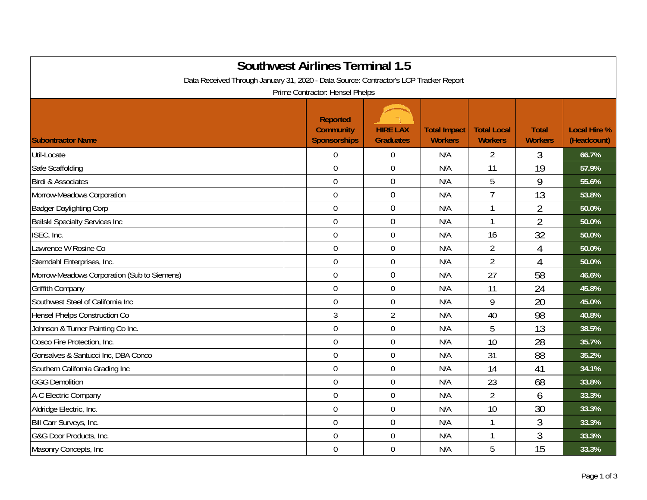| <b>Southwest Airlines Terminal 1.5</b><br>Data Received Through January 31, 2020 - Data Source: Contractor's LCP Tracker Report<br>Prime Contractor: Hensel Phelps |                                                            |                                     |                                       |                                      |                                |                                    |  |  |
|--------------------------------------------------------------------------------------------------------------------------------------------------------------------|------------------------------------------------------------|-------------------------------------|---------------------------------------|--------------------------------------|--------------------------------|------------------------------------|--|--|
| <b>Subontractor Name</b>                                                                                                                                           | <b>Reported</b><br><b>Community</b><br><b>Sponsorships</b> | <b>HIRE LAX</b><br><b>Graduates</b> | <b>Total Impact</b><br><b>Workers</b> | <b>Total Local</b><br><b>Workers</b> | <b>Total</b><br><b>Workers</b> | <b>Local Hire %</b><br>(Headcount) |  |  |
| Util-Locate                                                                                                                                                        | $\mathbf 0$                                                | $\boldsymbol{0}$                    | N/A                                   | $\overline{2}$                       | 3                              | 66.7%                              |  |  |
| Safe Scaffolding                                                                                                                                                   | $\overline{0}$                                             | $\mathbf 0$                         | N/A                                   | 11                                   | 19                             | 57.9%                              |  |  |
| <b>Birdi &amp; Associates</b>                                                                                                                                      | $\mathbf 0$                                                | $\boldsymbol{0}$                    | N/A                                   | 5                                    | 9                              | 55.6%                              |  |  |
| Morrow-Meadows Corporation                                                                                                                                         | $\overline{0}$                                             | $\boldsymbol{0}$                    | N/A                                   | $\overline{1}$                       | 13                             | 53.8%                              |  |  |
| <b>Badger Daylighting Corp</b>                                                                                                                                     | $\mathbf 0$                                                | $\mathbf 0$                         | N/A                                   | 1                                    | $\overline{2}$                 | 50.0%                              |  |  |
| Beilski Specialty Services Inc                                                                                                                                     | $\overline{0}$                                             | $\mathbf 0$                         | N/A                                   | 1                                    | $\overline{2}$                 | 50.0%                              |  |  |
| ISEC, Inc.                                                                                                                                                         | $\mathbf 0$                                                | $\boldsymbol{0}$                    | N/A                                   | 16                                   | 32                             | 50.0%                              |  |  |
| Lawrence W Rosine Co                                                                                                                                               | $\mathbf 0$                                                | $\boldsymbol{0}$                    | N/A                                   | $\overline{2}$                       | 4                              | 50.0%                              |  |  |
| Sterndahl Enterprises, Inc.                                                                                                                                        | $\overline{0}$                                             | $\boldsymbol{0}$                    | N/A                                   | $\overline{2}$                       | 4                              | 50.0%                              |  |  |
| Morrow-Meadows Corporation (Sub to Siemens)                                                                                                                        | $\overline{0}$                                             | $\mathbf 0$                         | N/A                                   | 27                                   | 58                             | 46.6%                              |  |  |
| <b>Griffith Company</b>                                                                                                                                            | $\overline{0}$                                             | $\mathbf 0$                         | N/A                                   | 11                                   | 24                             | 45.8%                              |  |  |
| Southwest Steel of California Inc                                                                                                                                  | $\mathbf 0$                                                | $\boldsymbol{0}$                    | N/A                                   | 9                                    | 20                             | 45.0%                              |  |  |
| <b>Hensel Phelps Construction Co</b>                                                                                                                               | $\mathfrak{Z}$                                             | $\overline{2}$                      | N/A                                   | 40                                   | 98                             | 40.8%                              |  |  |
| Johnson & Turner Painting Co Inc.                                                                                                                                  | $\mathbf 0$                                                | $\boldsymbol{0}$                    | N/A                                   | 5                                    | 13                             | 38.5%                              |  |  |
| Cosco Fire Protection, Inc.                                                                                                                                        | $\overline{0}$                                             | $\mathbf 0$                         | N/A                                   | 10                                   | 28                             | 35.7%                              |  |  |
| Gonsalves & Santucci Inc, DBA Conco                                                                                                                                | $\overline{0}$                                             | $\mathbf 0$                         | N/A                                   | 31                                   | 88                             | 35.2%                              |  |  |
| Southern California Grading Inc                                                                                                                                    | $\mathbf 0$                                                | $\mathbf 0$                         | N/A                                   | 14                                   | 41                             | 34.1%                              |  |  |
| <b>GGG Demolition</b>                                                                                                                                              | $\overline{0}$                                             | $\mathbf 0$                         | N/A                                   | 23                                   | 68                             | 33.8%                              |  |  |
| A-C Electric Company                                                                                                                                               | $\mathbf 0$                                                | $\boldsymbol{0}$                    | N/A                                   | $\overline{2}$                       | 6                              | 33.3%                              |  |  |
| Aldridge Electric, Inc.                                                                                                                                            | $\mathbf 0$                                                | $\boldsymbol{0}$                    | N/A                                   | 10                                   | 30                             | 33.3%                              |  |  |
| Bill Carr Surveys, Inc.                                                                                                                                            | $\overline{0}$                                             | $\mathbf 0$                         | N/A                                   | 1                                    | 3                              | 33.3%                              |  |  |
| G&G Door Products, Inc.                                                                                                                                            | $\overline{0}$                                             | $\mathbf 0$                         | N/A                                   | 1                                    | 3                              | 33.3%                              |  |  |
| Masonry Concepts, Inc                                                                                                                                              | $\mathbf 0$                                                | $\mathbf 0$                         | N/A                                   | 5                                    | 15                             | 33.3%                              |  |  |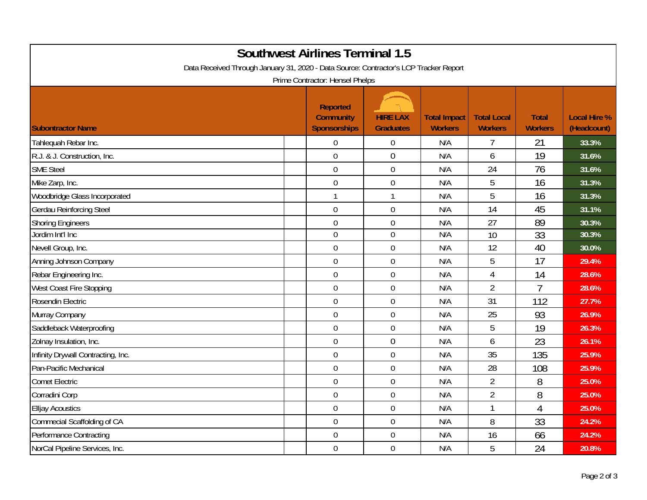| <b>Southwest Airlines Terminal 1.5</b><br>Data Received Through January 31, 2020 - Data Source: Contractor's LCP Tracker Report<br>Prime Contractor: Hensel Phelps |  |                                                            |                                     |                                       |                                      |                                |                                    |  |
|--------------------------------------------------------------------------------------------------------------------------------------------------------------------|--|------------------------------------------------------------|-------------------------------------|---------------------------------------|--------------------------------------|--------------------------------|------------------------------------|--|
| <b>Subontractor Name</b>                                                                                                                                           |  | <b>Reported</b><br><b>Community</b><br><b>Sponsorships</b> | <b>HIRE LAX</b><br><b>Graduates</b> | <b>Total Impact</b><br><b>Workers</b> | <b>Total Local</b><br><b>Workers</b> | <b>Total</b><br><b>Workers</b> | <b>Local Hire %</b><br>(Headcount) |  |
| Tahlequah Rebar Inc.                                                                                                                                               |  | $\mathbf 0$                                                | $\boldsymbol{0}$                    | N/A                                   | 7                                    | 21                             | 33.3%                              |  |
| R.J. & J. Construction, Inc.                                                                                                                                       |  | $\mathbf 0$                                                | $\mathbf 0$                         | N/A                                   | 6                                    | 19                             | 31.6%                              |  |
| <b>SME Steel</b>                                                                                                                                                   |  | $\overline{0}$                                             | $\mathbf 0$                         | N/A                                   | 24                                   | 76                             | 31.6%                              |  |
| Mike Zarp, Inc.                                                                                                                                                    |  | $\overline{0}$                                             | $\boldsymbol{0}$                    | N/A                                   | 5                                    | 16                             | 31.3%                              |  |
| Woodbridge Glass Incorporated                                                                                                                                      |  | $\mathbf{1}$                                               | $\mathbf{1}$                        | N/A                                   | 5                                    | 16                             | 31.3%                              |  |
| <b>Gerdau Reinforcing Steel</b>                                                                                                                                    |  | $\mathbf 0$                                                | $\boldsymbol{0}$                    | N/A                                   | 14                                   | 45                             | 31.1%                              |  |
| <b>Shoring Engineers</b>                                                                                                                                           |  | $\mathbf 0$                                                | $\mathbf 0$                         | N/A                                   | 27                                   | 89                             | 30.3%                              |  |
| Jordim Int'l Inc                                                                                                                                                   |  | $\Omega$                                                   | $\mathbf 0$                         | N/A                                   | 10                                   | $\overline{33}$                | 30.3%                              |  |
| Nevell Group, Inc.                                                                                                                                                 |  | $\mathbf 0$                                                | $\boldsymbol{0}$                    | N/A                                   | 12                                   | 40                             | 30.0%                              |  |
| Anning Johnson Company                                                                                                                                             |  | $\mathbf 0$                                                | $\boldsymbol{0}$                    | N/A                                   | 5                                    | 17                             | 29.4%                              |  |
| Rebar Engineering Inc.                                                                                                                                             |  | $\mathbf 0$                                                | $\mathbf 0$                         | N/A                                   | $\overline{4}$                       | 14                             | 28.6%                              |  |
| West Coast Fire Stopping                                                                                                                                           |  | $\mathbf 0$                                                | $\boldsymbol{0}$                    | N/A                                   | $\overline{2}$                       |                                | 28.6%                              |  |
| Rosendin Electric                                                                                                                                                  |  | $\overline{0}$                                             | $\mathbf 0$                         | N/A                                   | 31                                   | 112                            | 27.7%                              |  |
| Murray Company                                                                                                                                                     |  | $\overline{0}$                                             | $\boldsymbol{0}$                    | N/A                                   | 25                                   | 93                             | 26.9%                              |  |
| Saddleback Waterproofing                                                                                                                                           |  | $\mathbf 0$                                                | $\mathbf 0$                         | N/A                                   | 5                                    | 19                             | 26.3%                              |  |
| Zolnay Insulation, Inc.                                                                                                                                            |  | $\mathbf 0$                                                | $\boldsymbol{0}$                    | N/A                                   | 6                                    | 23                             | 26.1%                              |  |
| Infinity Drywall Contracting, Inc.                                                                                                                                 |  | $\mathbf 0$                                                | $\mathbf 0$                         | N/A                                   | 35                                   | 135                            | 25.9%                              |  |
| Pan-Pacific Mechanical                                                                                                                                             |  | $\overline{0}$                                             | $\mathbf 0$                         | N/A                                   | 28                                   | 108                            | 25.9%                              |  |
| <b>Comet Electric</b>                                                                                                                                              |  | $\overline{0}$                                             | $\mathbf 0$                         | N/A                                   | $\overline{2}$                       | 8                              | 25.0%                              |  |
| Corradini Corp                                                                                                                                                     |  | $\boldsymbol{0}$                                           | $\boldsymbol{0}$                    | N/A                                   | $\overline{2}$                       | 8                              | 25.0%                              |  |
| <b>Elljay Acoustics</b>                                                                                                                                            |  | $\mathbf 0$                                                | $\boldsymbol{0}$                    | N/A                                   | 1                                    | 4                              | 25.0%                              |  |
| Commecial Scaffolding of CA                                                                                                                                        |  | $\mathbf 0$                                                | $\boldsymbol{0}$                    | N/A                                   | 8                                    | 33                             | 24.2%                              |  |
| <b>Performance Contracting</b>                                                                                                                                     |  | $\mathbf 0$                                                | $\boldsymbol{0}$                    | N/A                                   | 16                                   | 66                             | 24.2%                              |  |
| NorCal Pipeline Services, Inc.                                                                                                                                     |  | $\overline{0}$                                             | $\mathbf 0$                         | N/A                                   | 5                                    | 24                             | 20.8%                              |  |